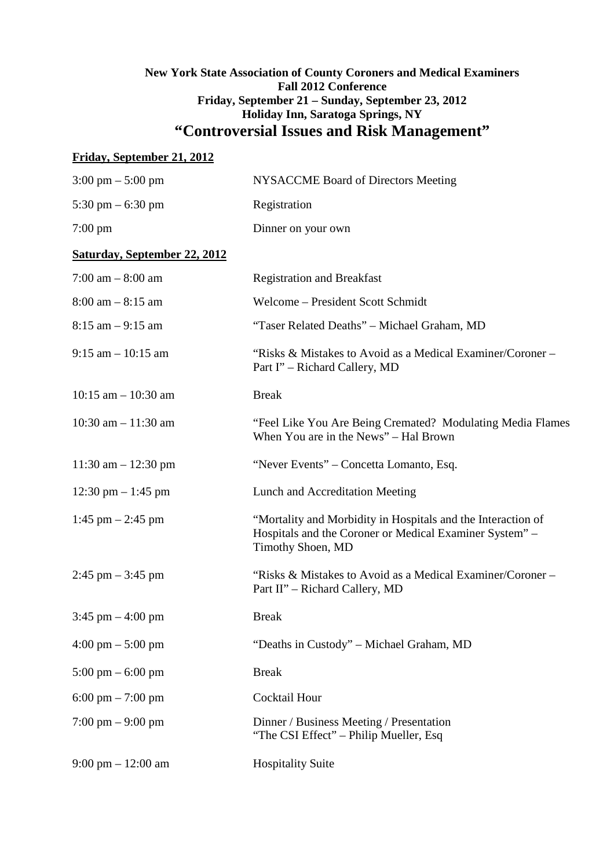# **New York State Association of County Coroners and Medical Examiners Fall 2012 Conference Friday, September 21 – Sunday, September 23, 2012 Holiday Inn, Saratoga Springs, NY "Controversial Issues and Risk Management"**

# **Friday, September 21, 2012**

| $3:00 \text{ pm} - 5:00 \text{ pm}$  | <b>NYSACCME Board of Directors Meeting</b>                                                                                                   |
|--------------------------------------|----------------------------------------------------------------------------------------------------------------------------------------------|
| 5:30 pm $-$ 6:30 pm                  | Registration                                                                                                                                 |
| $7:00 \text{ pm}$                    | Dinner on your own                                                                                                                           |
| <b>Saturday, September 22, 2012</b>  |                                                                                                                                              |
| $7:00$ am $-8:00$ am                 | <b>Registration and Breakfast</b>                                                                                                            |
| $8:00$ am $-8:15$ am                 | Welcome - President Scott Schmidt                                                                                                            |
| $8:15$ am $-9:15$ am                 | "Taser Related Deaths" - Michael Graham, MD                                                                                                  |
| $9:15$ am $-10:15$ am                | "Risks & Mistakes to Avoid as a Medical Examiner/Coroner –<br>Part I" – Richard Callery, MD                                                  |
| $10:15$ am $- 10:30$ am              | <b>Break</b>                                                                                                                                 |
| $10:30$ am $-11:30$ am               | "Feel Like You Are Being Cremated? Modulating Media Flames<br>When You are in the News" – Hal Brown                                          |
| $11:30$ am $- 12:30$ pm              | "Never Events" - Concetta Lomanto, Esq.                                                                                                      |
| 12:30 pm $-$ 1:45 pm                 | Lunch and Accreditation Meeting                                                                                                              |
| 1:45 pm $-$ 2:45 pm                  | "Mortality and Morbidity in Hospitals and the Interaction of<br>Hospitals and the Coroner or Medical Examiner System" -<br>Timothy Shoen, MD |
| $2:45$ pm $-3:45$ pm                 | "Risks & Mistakes to Avoid as a Medical Examiner/Coroner –<br>Part II" – Richard Callery, MD                                                 |
| $3:45$ pm $-4:00$ pm                 | <b>Break</b>                                                                                                                                 |
| $4:00 \text{ pm} - 5:00 \text{ pm}$  | "Deaths in Custody" - Michael Graham, MD                                                                                                     |
| $5:00 \text{ pm} - 6:00 \text{ pm}$  | <b>Break</b>                                                                                                                                 |
| $6:00 \text{ pm} - 7:00 \text{ pm}$  | Cocktail Hour                                                                                                                                |
| $7:00 \text{ pm} - 9:00 \text{ pm}$  | Dinner / Business Meeting / Presentation<br>"The CSI Effect" – Philip Mueller, Esq                                                           |
| $9:00 \text{ pm} - 12:00 \text{ am}$ | <b>Hospitality Suite</b>                                                                                                                     |